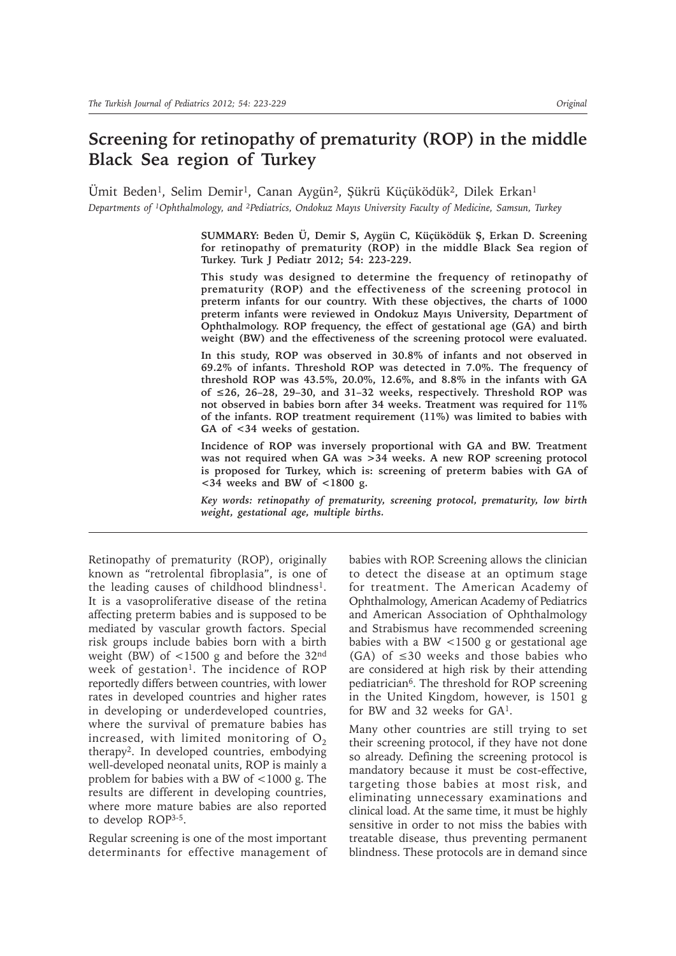# **Screening for retinopathy of prematurity (ROP) in the middle Black Sea region of Turkey**

Ümit Beden<sup>1</sup>, Selim Demir<sup>1</sup>, Canan Aygün<sup>2</sup>, Şükrü Küçüködük<sup>2</sup>, Dilek Erkan<sup>1</sup> *Departments of 1Ophthalmology, and 2Pediatrics, Ondokuz Mayıs University Faculty of Medicine, Samsun, Turkey*

> **SUMMARY: Beden Ü, Demir S, Aygün C, Küçüködük û, Erkan D. Screening for retinopathy of prematurity (ROP) in the middle Black Sea region of Turkey. Turk J Pediatr 2012; 54: 223-229.**

> **This study was designed to determine the frequency of retinopathy of prematurity (ROP) and the effectiveness of the screening protocol in preterm infants for our country. With these objectives, the charts of 1000 preterm infants were reviewed in Ondokuz Mayıs University, Department of Ophthalmology. ROP frequency, the effect of gestational age (GA) and birth weight (BW) and the effectiveness of the screening protocol were evaluated.**

> **In this study, ROP was observed in 30.8% of infants and not observed in 69.2% of infants. Threshold ROP was detected in 7.0%. The frequency of threshold ROP was 43.5%, 20.0%, 12.6%, and 8.8% in the infants with GA of 26, 26–28, 29–30, and 31–32 weeks, respectively. Threshold ROP was not observed in babies born after 34 weeks. Treatment was required for 11% of the infants. ROP treatment requirement (11%) was limited to babies with GA of <34 weeks of gestation.**

> **Incidence of ROP was inversely proportional with GA and BW. Treatment was not required when GA was >34 weeks. A new ROP screening protocol is proposed for Turkey, which is: screening of preterm babies with GA of <34 weeks and BW of <1800 g.**

> *Key words: retinopathy of prematurity, screening protocol, prematurity, low birth weight, gestational age, multiple births.*

Retinopathy of prematurity (ROP), originally known as "retrolental fibroplasia", is one of the leading causes of childhood blindness1. It is a vasoproliferative disease of the retina affecting preterm babies and is supposed to be mediated by vascular growth factors. Special risk groups include babies born with a birth weight (BW) of  $\lt$ 1500 g and before the 32<sup>nd</sup> week of gestation<sup>1</sup>. The incidence of ROP reportedly differs between countries, with lower rates in developed countries and higher rates in developing or underdeveloped countries, where the survival of premature babies has increased, with limited monitoring of  $O<sub>2</sub>$ therapy2. In developed countries, embodying well-developed neonatal units, ROP is mainly a problem for babies with a BW of <1000 g. The results are different in developing countries, where more mature babies are also reported to develop ROP3-5.

Regular screening is one of the most important determinants for effective management of babies with ROP. Screening allows the clinician to detect the disease at an optimum stage for treatment. The American Academy of Ophthalmology, American Academy of Pediatrics and American Association of Ophthalmology and Strabismus have recommended screening babies with a BW <1500 g or gestational age (GA) of  $\leq 30$  weeks and those babies who are considered at high risk by their attending pediatrician<sup>6</sup>. The threshold for ROP screening in the United Kingdom, however, is 1501 g for BW and 32 weeks for GA1.

Many other countries are still trying to set their screening protocol, if they have not done so already. Defining the screening protocol is mandatory because it must be cost-effective, targeting those babies at most risk, and eliminating unnecessary examinations and clinical load. At the same time, it must be highly sensitive in order to not miss the babies with treatable disease, thus preventing permanent blindness. These protocols are in demand since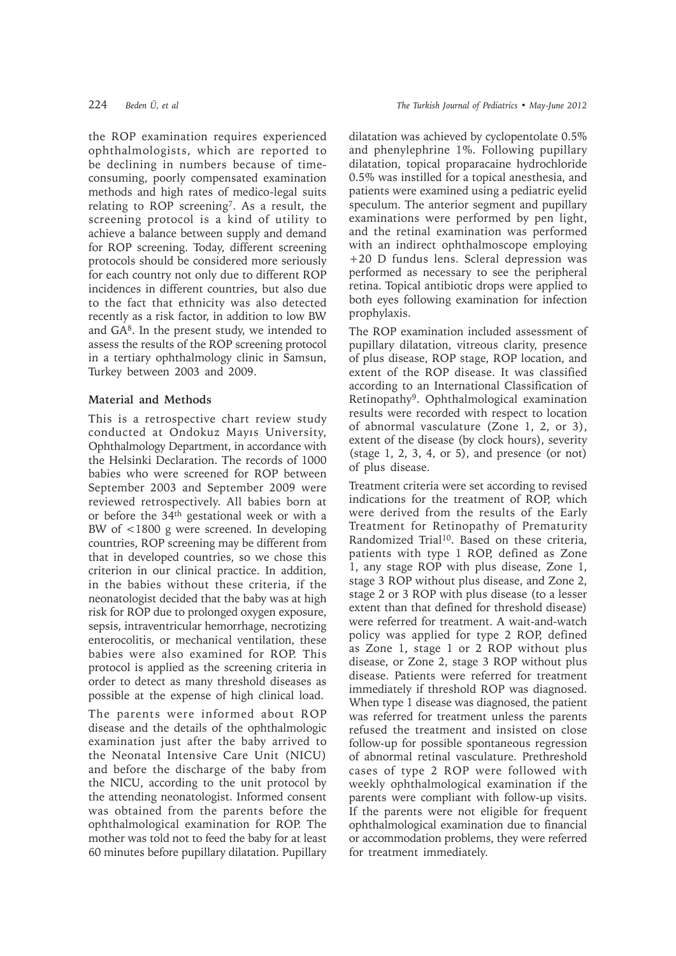the ROP examination requires experienced ophthalmologists, which are reported to be declining in numbers because of timeconsuming, poorly compensated examination methods and high rates of medico-legal suits relating to ROP screening7. As a result, the screening protocol is a kind of utility to achieve a balance between supply and demand for ROP screening. Today, different screening protocols should be considered more seriously for each country not only due to different ROP incidences in different countries, but also due to the fact that ethnicity was also detected recently as a risk factor, in addition to low BW and GA8. In the present study, we intended to assess the results of the ROP screening protocol in a tertiary ophthalmology clinic in Samsun, Turkey between 2003 and 2009.

### **Material and Methods**

This is a retrospective chart review study conducted at Ondokuz Mayıs University, Ophthalmology Department, in accordance with the Helsinki Declaration. The records of 1000 babies who were screened for ROP between September 2003 and September 2009 were reviewed retrospectively. All babies born at or before the 34th gestational week or with a BW of <1800 g were screened. In developing countries, ROP screening may be different from that in developed countries, so we chose this criterion in our clinical practice. In addition, in the babies without these criteria, if the neonatologist decided that the baby was at high risk for ROP due to prolonged oxygen exposure, sepsis, intraventricular hemorrhage, necrotizing enterocolitis, or mechanical ventilation, these babies were also examined for ROP. This protocol is applied as the screening criteria in order to detect as many threshold diseases as possible at the expense of high clinical load.

The parents were informed about ROP disease and the details of the ophthalmologic examination just after the baby arrived to the Neonatal Intensive Care Unit (NICU) and before the discharge of the baby from the NICU, according to the unit protocol by the attending neonatologist. Informed consent was obtained from the parents before the ophthalmological examination for ROP. The mother was told not to feed the baby for at least 60 minutes before pupillary dilatation. Pupillary

dilatation was achieved by cyclopentolate 0.5% and phenylephrine 1%. Following pupillary dilatation, topical proparacaine hydrochloride 0.5% was instilled for a topical anesthesia, and patients were examined using a pediatric eyelid speculum. The anterior segment and pupillary examinations were performed by pen light, and the retinal examination was performed with an indirect ophthalmoscope employing +20 D fundus lens. Scleral depression was performed as necessary to see the peripheral retina. Topical antibiotic drops were applied to both eyes following examination for infection prophylaxis.

The ROP examination included assessment of pupillary dilatation, vitreous clarity, presence of plus disease, ROP stage, ROP location, and extent of the ROP disease. It was classified according to an International Classification of Retinopathy9. Ophthalmological examination results were recorded with respect to location of abnormal vasculature (Zone 1, 2, or 3), extent of the disease (by clock hours), severity (stage  $1, 2, 3, 4, or 5$ ), and presence (or not) of plus disease.

Treatment criteria were set according to revised indications for the treatment of ROP, which were derived from the results of the Early Treatment for Retinopathy of Prematurity Randomized Trial<sup>10</sup>. Based on these criteria, patients with type 1 ROP, defined as Zone 1, any stage ROP with plus disease, Zone 1, stage 3 ROP without plus disease, and Zone 2, stage 2 or 3 ROP with plus disease (to a lesser extent than that defined for threshold disease) were referred for treatment. A wait-and-watch policy was applied for type 2 ROP, defined as Zone 1, stage 1 or 2 ROP without plus disease, or Zone 2, stage 3 ROP without plus disease. Patients were referred for treatment immediately if threshold ROP was diagnosed. When type 1 disease was diagnosed, the patient was referred for treatment unless the parents refused the treatment and insisted on close follow-up for possible spontaneous regression of abnormal retinal vasculature. Prethreshold cases of type 2 ROP were followed with weekly ophthalmological examination if the parents were compliant with follow-up visits. If the parents were not eligible for frequent ophthalmological examination due to financial or accommodation problems, they were referred for treatment immediately.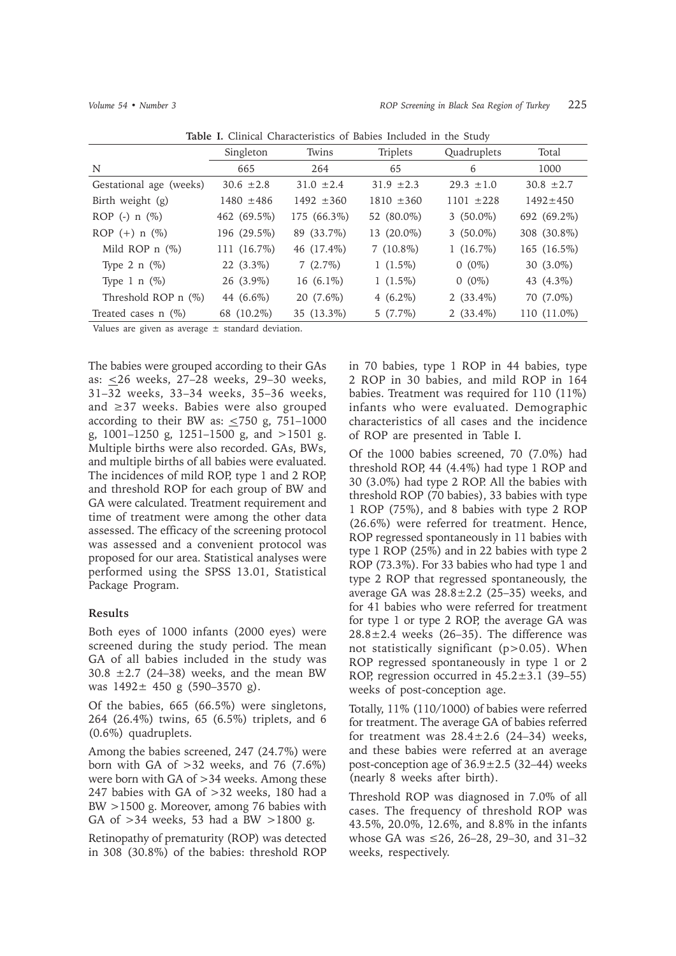|                         |                | urem enuruerencues en Busico interucu in ent study |                |                |                |
|-------------------------|----------------|----------------------------------------------------|----------------|----------------|----------------|
|                         | Singleton      | Twins                                              | Triplets       | Quadruplets    | Total          |
| N                       | 665            | 264                                                | 65             | 6              | 1000           |
| Gestational age (weeks) | $30.6 \pm 2.8$ | $31.0 \pm 2.4$                                     | $31.9 \pm 2.3$ | $29.3 \pm 1.0$ | $30.8 \pm 2.7$ |
| Birth weight (g)        | $1480 \pm 486$ | $1492 \pm 360$                                     | $1810 \pm 360$ | $1101 + 228$   | $1492 \pm 450$ |
| ROP (-) $n$ (%)         | 462 (69.5%)    | 175 (66.3%)                                        | 52 (80.0%)     | 3 $(50.0\%)$   | 692 (69.2%)    |
| ROP $(+)$ n $(\%)$      | 196 (29.5%)    | 89 (33.7%)                                         | 13 (20.0%)     | $3(50.0\%)$    | 308 (30.8%)    |
| Mild ROP $n$ $(\%)$     | 111 (16.7%)    | 46 (17.4%)                                         | $7(10.8\%)$    | $1(16.7\%)$    | 165 (16.5%)    |
| Type 2 n $(\%)$         | 22 (3.3%)      | 7(2.7%)                                            | $1(1.5\%)$     | $0(0\%)$       | 30 (3.0%)      |
| Type 1 n $(\%)$         | 26 (3.9%)      | 16 $(6.1\%)$                                       | $1(1.5\%)$     | $0(0\%)$       | 43 (4.3%)      |
| Threshold ROP $n$ (%)   | 44 (6.6%)      | 20 (7.6%)                                          | 4 $(6.2\%)$    | $2(33.4\%)$    | 70 (7.0%)      |
| Treated cases $n$ (%)   | 68 (10.2%)     | 35 (13.3%)                                         | $5(7.7\%)$     | $2(33.4\%)$    | 110 (11.0%)    |

**Table I.** Clinical Characteristics of Babies Included in the Study

Values are given as average  $\pm$  standard deviation.

The babies were grouped according to their GAs as: <26 weeks, 27–28 weeks, 29–30 weeks, 31–32 weeks, 33–34 weeks, 35–36 weeks, and  $\geq$  37 weeks. Babies were also grouped according to their BW as:  $\leq$ 750 g, 751-1000 g, 1001–1250 g, 1251–1500 g, and >1501 g. Multiple births were also recorded. GAs, BWs, and multiple births of all babies were evaluated. The incidences of mild ROP, type 1 and 2 ROP, and threshold ROP for each group of BW and GA were calculated. Treatment requirement and time of treatment were among the other data assessed. The efficacy of the screening protocol was assessed and a convenient protocol was proposed for our area. Statistical analyses were performed using the SPSS 13.01, Statistical Package Program.

## **Results**

Both eyes of 1000 infants (2000 eyes) were screened during the study period. The mean GA of all babies included in the study was 30.8  $\pm$ 2.7 (24–38) weeks, and the mean BW was  $1492 \pm 450$  g  $(590-3570)$  g).

Of the babies, 665 (66.5%) were singletons, 264 (26.4%) twins, 65 (6.5%) triplets, and 6 (0.6%) quadruplets.

Among the babies screened, 247 (24.7%) were born with GA of  $>32$  weeks, and 76 (7.6%) were born with GA of >34 weeks. Among these 247 babies with GA of >32 weeks, 180 had a BW >1500 g. Moreover, among 76 babies with GA of >34 weeks, 53 had a BW >1800 g.

Retinopathy of prematurity (ROP) was detected in 308 (30.8%) of the babies: threshold ROP

in 70 babies, type 1 ROP in 44 babies, type 2 ROP in 30 babies, and mild ROP in 164 babies. Treatment was required for 110 (11%) infants who were evaluated. Demographic characteristics of all cases and the incidence of ROP are presented in Table I.

Of the 1000 babies screened, 70 (7.0%) had threshold ROP, 44 (4.4%) had type 1 ROP and 30 (3.0%) had type 2 ROP. All the babies with threshold ROP (70 babies), 33 babies with type 1 ROP (75%), and 8 babies with type 2 ROP (26.6%) were referred for treatment. Hence, ROP regressed spontaneously in 11 babies with type 1 ROP (25%) and in 22 babies with type 2 ROP (73.3%). For 33 babies who had type 1 and type 2 ROP that regressed spontaneously, the average GA was  $28.8 \pm 2.2$  (25–35) weeks, and for 41 babies who were referred for treatment for type 1 or type 2 ROP, the average GA was  $28.8 \pm 2.4$  weeks (26-35). The difference was not statistically significant (p>0.05). When ROP regressed spontaneously in type 1 or 2 ROP, regression occurred in  $45.2 \pm 3.1$  (39–55) weeks of post-conception age.

Totally, 11% (110/1000) of babies were referred for treatment. The average GA of babies referred for treatment was  $28.4 \pm 2.6$  (24–34) weeks, and these babies were referred at an average post-conception age of  $36.9 \pm 2.5$  (32–44) weeks (nearly 8 weeks after birth).

Threshold ROP was diagnosed in 7.0% of all cases. The frequency of threshold ROP was 43.5%, 20.0%, 12.6%, and 8.8% in the infants whose GA was  $\leq 26$ , 26–28, 29–30, and 31–32 weeks, respectively.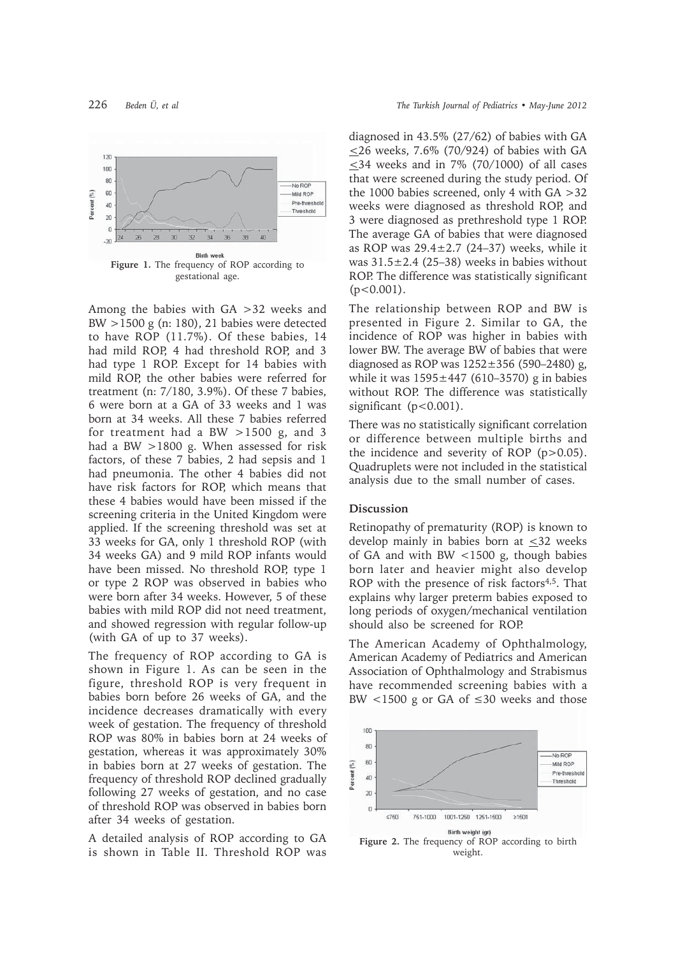

Among the babies with GA >32 weeks and BW >1500 g (n: 180), 21 babies were detected to have ROP (11.7%). Of these babies, 14 had mild ROP, 4 had threshold ROP, and 3 had type 1 ROP. Except for 14 babies with mild ROP, the other babies were referred for treatment (n: 7/180, 3.9%). Of these 7 babies, 6 were born at a GA of 33 weeks and 1 was born at 34 weeks. All these 7 babies referred for treatment had a BW  $>1500$  g, and 3 had a BW >1800 g. When assessed for risk factors, of these 7 babies, 2 had sepsis and 1 had pneumonia. The other 4 babies did not have risk factors for ROP, which means that these 4 babies would have been missed if the screening criteria in the United Kingdom were applied. If the screening threshold was set at 33 weeks for GA, only 1 threshold ROP (with 34 weeks GA) and 9 mild ROP infants would have been missed. No threshold ROP, type 1 or type 2 ROP was observed in babies who were born after 34 weeks. However, 5 of these babies with mild ROP did not need treatment, and showed regression with regular follow-up (with GA of up to 37 weeks).

The frequency of ROP according to GA is shown in Figure 1. As can be seen in the figure, threshold ROP is very frequent in babies born before 26 weeks of GA, and the incidence decreases dramatically with every week of gestation. The frequency of threshold ROP was 80% in babies born at 24 weeks of gestation, whereas it was approximately 30% in babies born at 27 weeks of gestation. The frequency of threshold ROP declined gradually following 27 weeks of gestation, and no case of threshold ROP was observed in babies born after 34 weeks of gestation.

A detailed analysis of ROP according to GA is shown in Table II. Threshold ROP was

diagnosed in 43.5% (27/62) of babies with GA  $\leq$ 26 weeks, 7.6% (70/924) of babies with GA  $\leq$ 34 weeks and in 7% (70/1000) of all cases that were screened during the study period. Of the 1000 babies screened, only 4 with GA >32 weeks were diagnosed as threshold ROP, and 3 were diagnosed as prethreshold type 1 ROP. The average GA of babies that were diagnosed as ROP was  $29.4 \pm 2.7$  (24-37) weeks, while it was  $31.5\pm2.4$  (25-38) weeks in babies without ROP. The difference was statistically significant  $(p<0.001)$ .

The relationship between ROP and BW is presented in Figure 2. Similar to GA, the incidence of ROP was higher in babies with lower BW. The average BW of babies that were diagnosed as ROP was  $1252 \pm 356$  (590–2480) g, while it was  $1595 \pm 447$  (610–3570) g in babies without ROP. The difference was statistically significant  $(p<0.001)$ .

There was no statistically significant correlation or difference between multiple births and the incidence and severity of ROP  $(p>0.05)$ . Quadruplets were not included in the statistical analysis due to the small number of cases.

#### **Discussion**

Retinopathy of prematurity (ROP) is known to develop mainly in babies born at <32 weeks of GA and with BW <1500 g, though babies born later and heavier might also develop ROP with the presence of risk factors<sup>4,5</sup>. That explains why larger preterm babies exposed to long periods of oxygen/mechanical ventilation should also be screened for ROP.

The American Academy of Ophthalmology, American Academy of Pediatrics and American Association of Ophthalmology and Strabismus have recommended screening babies with a BW  $< 1500$  g or GA of  $\leq 30$  weeks and those



Figure 2. The frequency of ROP according to birth weight.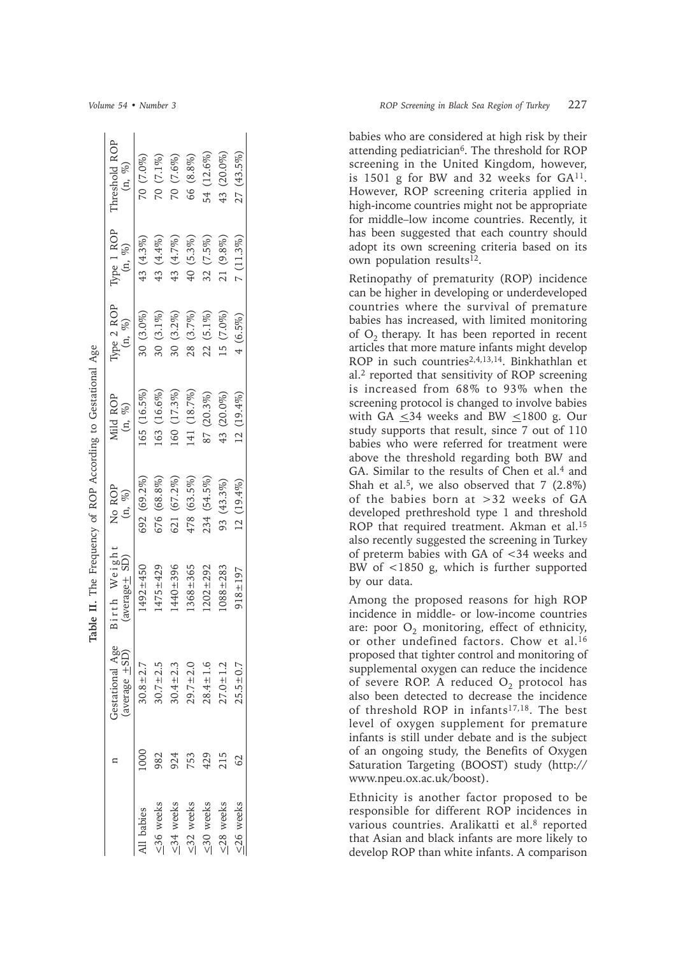|                 |      |                                       | Table II. The Frequency of ROP According to Gestational Age |                      |                              |                         |                         |                         |
|-----------------|------|---------------------------------------|-------------------------------------------------------------|----------------------|------------------------------|-------------------------|-------------------------|-------------------------|
|                 |      | Gestational Age<br>(average $\pm$ SD) | Birth Weight<br>(average + SD)                              | No ROP<br>(n, $\%$ ) | Mild ROP<br>(n, $\%$ )       | Type 2 ROP<br>$(n, \%)$ | Type 1 ROP<br>$(n, \%)$ | Threshold ROP<br>(n, %) |
| Il babies       | 1000 | $30.8 + 2.7$                          | $1492 \pm 450$                                              | 692 (69.2%)          | 165(16.5%)                   | $30(3.0\%)$             | 43 (4.3%)               | 70 (7.0%)               |
| $\leq$ 36 weeks | 982  | $30.7 \pm 2.5$                        | $475 + 429$                                                 | 676 (68.8%)          | $163(16.6\%)$                | $30(3.1\%)$             | 43 (4.4%)               | 70 (7.1%)               |
| $\leq$ 34 weeks | 924  | $30.4 \pm 2.3$                        | $440 + 396$                                                 | 621 (67.2%)          | $160(17.3\%)$                | $30(3.2\%)$             | 43 (4.7%)               | 70 (7.6%)               |
| $\leq$ 32 weeks | 753  | $29.7 + 2.0$                          | $.368 + 365$                                                | 478 (63.5%)          | (41 (18.7%)                  | 28 (3.7%)               | $40(5.3\%)$             | 66 (8.8%)               |
| $\leq$ 30 weeks | 429  | $28.4 \pm 1.6$                        | $202 + 292$                                                 | 234 (54.5%)          | $(20.3\%)$<br>$\frac{87}{6}$ | $22(5.1\%)$             | 32 (7.5%)               | 54 (12.6%)              |
| $\leq$ 28 weeks | 215  | $27.0 + 1.2$                          | $088 + 283$                                                 | 93 (43.3%)           | $(20.0\%)$<br>43             | $5(7.0\%)$              | 21 (9.8%)               | 43 (20.0%)              |
| $\leq$ 26 weeks | 62   | $25.5 \pm 0.7$                        | $918 + 197$                                                 | $12(19.4\%)$         | $12(19.4\%)$                 | $4(6.5\%)$              | $7(11.3\%)$             | $27(43.5\%)$            |
|                 |      |                                       |                                                             |                      |                              |                         |                         |                         |

babies who are considered at high risk by their attending pediatrician<sup>6</sup>. The threshold for ROP screening in the United Kingdom, however, is 1501 g for BW and 32 weeks for  $GA^{11}$ . However, ROP screening criteria applied in high-income countries might not be appropriate for middle–low income countries. Recently, it has been suggested that each country should adopt its own screening criteria based on its own population results<sup>12</sup>.

Retinopathy of prematurity (ROP) incidence can be higher in developing or underdeveloped countries where the survival of premature babies has increased, with limited monitoring of  $O<sub>2</sub>$  therapy. It has been reported in recent articles that more mature infants might develop ROP in such countries<sup>2,4,13,14</sup>. Binkhathlan et al.2 reported that sensitivity of ROP screening is increased from 68% to 93% when the screening protocol is changed to involve babies with GA <34 weeks and BW <1800 g. Our study supports that result, since 7 out of 110 babies who were referred for treatment were above the threshold regarding both BW and GA. Similar to the results of Chen et al.<sup>4</sup> and Shah et al.<sup>5</sup>, we also observed that  $7$  (2.8%) of the babies born at >32 weeks of GA developed prethreshold type 1 and threshold ROP that required treatment. Akman et al.<sup>15</sup> also recently suggested the screening in Turkey of preterm babies with GA of <34 weeks and BW of <1850 g, which is further supported by our data.

Among the proposed reasons for high ROP incidence in middle- or low-income countries are: poor  $O_2$  monitoring, effect of ethnicity, or other undefined factors. Chow et al.<sup>16</sup> proposed that tighter control and monitoring of supplemental oxygen can reduce the incidence of severe ROP. A reduced  $O_2$  protocol has also been detected to decrease the incidence of threshold ROP in infants<sup>17,18</sup>. The best level of oxygen supplement for premature infants is still under debate and is the subject of an ongoing study, the Benefits of Oxygen Saturation Targeting (BOOST) study (http:// www.npeu.ox.ac.uk/boost).

Ethnicity is another factor proposed to be responsible for different ROP incidences in various countries. Aralikatti et al.<sup>8</sup> reported that Asian and black infants are more likely to develop ROP than white infants. A comparison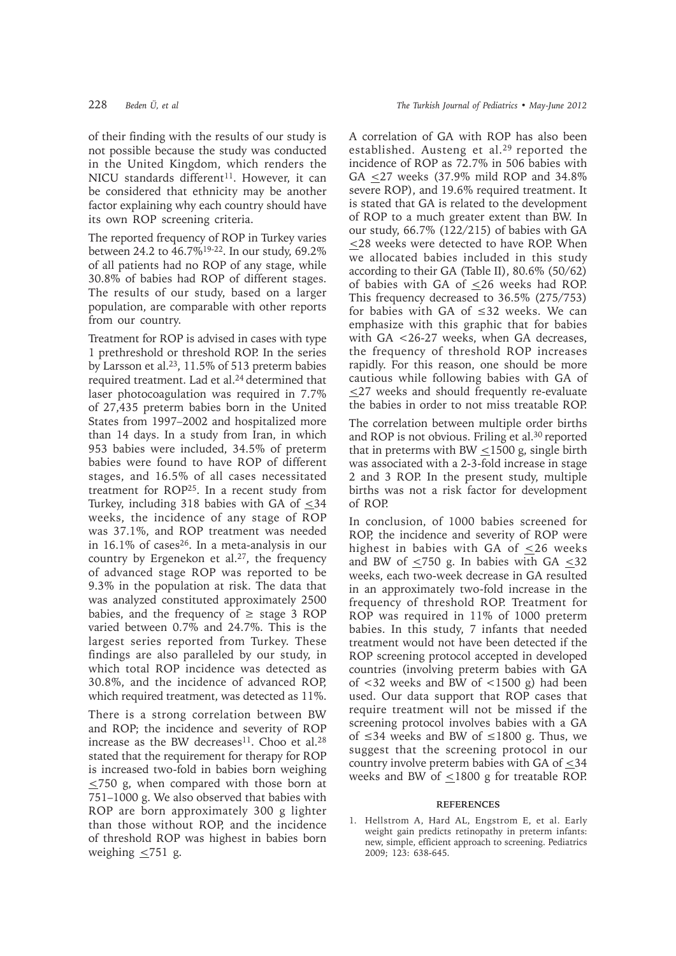of their finding with the results of our study is not possible because the study was conducted in the United Kingdom, which renders the NICU standards different<sup>11</sup>. However, it can be considered that ethnicity may be another factor explaining why each country should have its own ROP screening criteria.

The reported frequency of ROP in Turkey varies between 24.2 to 46.7%19-22. In our study, 69.2% of all patients had no ROP of any stage, while 30.8% of babies had ROP of different stages. The results of our study, based on a larger population, are comparable with other reports from our country.

Treatment for ROP is advised in cases with type 1 prethreshold or threshold ROP. In the series by Larsson et al.23, 11.5% of 513 preterm babies required treatment. Lad et al.24 determined that laser photocoagulation was required in 7.7% of 27,435 preterm babies born in the United States from 1997–2002 and hospitalized more than 14 days. In a study from Iran, in which 953 babies were included, 34.5% of preterm babies were found to have ROP of different stages, and 16.5% of all cases necessitated treatment for ROP25. In a recent study from Turkey, including 318 babies with GA of <34 weeks, the incidence of any stage of ROP was 37.1%, and ROP treatment was needed in  $16.1\%$  of cases<sup>26</sup>. In a meta-analysis in our country by Ergenekon et al.<sup>27</sup>, the frequency of advanced stage ROP was reported to be 9.3% in the population at risk. The data that was analyzed constituted approximately 2500 babies, and the frequency of  $\geq$  stage 3 ROP varied between 0.7% and 24.7%. This is the largest series reported from Turkey. These findings are also paralleled by our study, in which total ROP incidence was detected as 30.8%, and the incidence of advanced ROP, which required treatment, was detected as 11%.

There is a strong correlation between BW and ROP; the incidence and severity of ROP increase as the BW decreases<sup>11</sup>. Choo et al.<sup>28</sup> stated that the requirement for therapy for ROP is increased two-fold in babies born weighing  $\leq$ 750 g, when compared with those born at 751–1000 g. We also observed that babies with ROP are born approximately 300 g lighter than those without ROP, and the incidence of threshold ROP was highest in babies born weighing  $\leq$ 751 g.

A correlation of GA with ROP has also been established. Austeng et al.<sup>29</sup> reported the incidence of ROP as 72.7% in 506 babies with GA  $\leq$ 27 weeks (37.9% mild ROP and 34.8% severe ROP), and 19.6% required treatment. It is stated that GA is related to the development of ROP to a much greater extent than BW. In our study, 66.7% (122/215) of babies with GA <28 weeks were detected to have ROP. When we allocated babies included in this study according to their GA (Table II), 80.6% (50/62) of babies with GA of <26 weeks had ROP. This frequency decreased to 36.5% (275/753) for babies with GA of  $\leq 32$  weeks. We can emphasize with this graphic that for babies with GA <26-27 weeks, when GA decreases, the frequency of threshold ROP increases rapidly. For this reason, one should be more cautious while following babies with GA of <27 weeks and should frequently re-evaluate the babies in order to not miss treatable ROP.

The correlation between multiple order births and ROP is not obvious. Friling et al.<sup>30</sup> reported that in preterms with BW  $\lt$ 1500 g, single birth was associated with a 2-3-fold increase in stage 2 and 3 ROP. In the present study, multiple births was not a risk factor for development of ROP.

In conclusion, of 1000 babies screened for ROP, the incidence and severity of ROP were highest in babies with GA of  $\leq 26$  weeks and BW of  $\leq$ 750 g. In babies with GA  $\leq$ 32 weeks, each two-week decrease in GA resulted in an approximately two-fold increase in the frequency of threshold ROP. Treatment for ROP was required in 11% of 1000 preterm babies. In this study, 7 infants that needed treatment would not have been detected if the ROP screening protocol accepted in developed countries (involving preterm babies with GA of <32 weeks and BW of <1500 g) had been used. Our data support that ROP cases that require treatment will not be missed if the screening protocol involves babies with a GA of  $\leq 34$  weeks and BW of  $\leq 1800$  g. Thus, we suggest that the screening protocol in our country involve preterm babies with GA of  $\leq$ 34 weeks and BW of <1800 g for treatable ROP.

#### **REFERENCES**

1. Hellstrom A, Hard AL, Engstrom E, et al. Early weight gain predicts retinopathy in preterm infants: new, simple, efficient approach to screening. Pediatrics 2009; 123: 638-645.